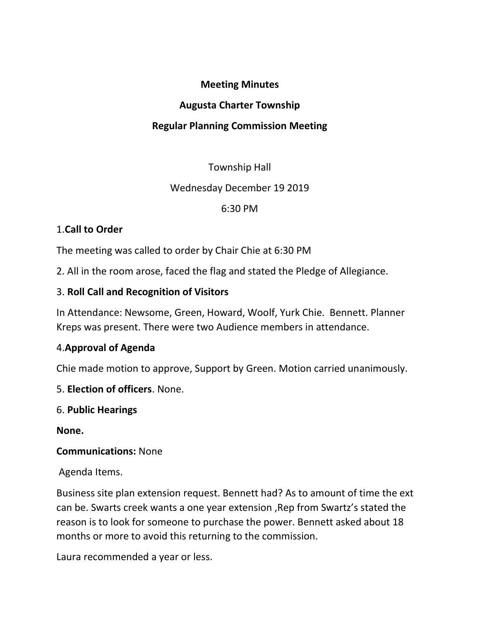#### Meeting Minutes

### Augusta Charter Township

# Regular Planning Commission Meeting

## Township Hall

### Wednesday December 19 2019

### 6:30 PM

## 1.Call to Order

The meeting was called to order by Chair Chie at 6:30 PM

2. All in the room arose, faced the flag and stated the Pledge of Allegiance.

## 3. Roll Call and Recognition of Visitors

In Attendance: Newsome, Green, Howard, Woolf, Yurk Chie. Bennett. Planner Kreps was present. There were two Audience members in attendance.

## 4.Approval of Agenda

Chie made motion to approve, Support by Green. Motion carried unanimously.

- 5. Election of officers. None.
- 6. Public Hearings

None.

#### Communications: None

Agenda Items.

Business site plan extension request. Bennett had? As to amount of time the ext can be. Swarts creek wants a one year extension ,Rep from Swartz's stated the reason is to look for someone to purchase the power. Bennett asked about 18 months or more to avoid this returning to the commission.

Laura recommended a year or less.